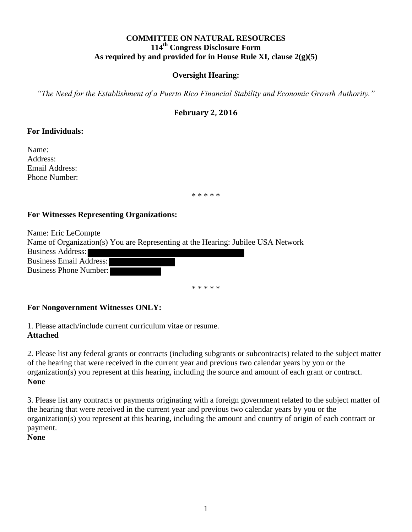# **COMMITTEE ON NATURAL RESOURCES 114 th Congress Disclosure Form As required by and provided for in House Rule XI, clause 2(g)(5)**

## **Oversight Hearing:**

*"The Need for the Establishment of a Puerto Rico Financial Stability and Economic Growth Authority."*

# **February 2, 2016**

#### **For Individuals:**

Name: Address: Email Address: Phone Number:

\* \* \* \* \*

#### **For Witnesses Representing Organizations:**

Name: Eric LeCompte Name of Organization(s) You are Representing at the Hearing: Jubilee USA Network Business Address: Business Email Address: Business Phone Number:

\* \* \* \* \*

#### **For Nongovernment Witnesses ONLY:**

1. Please attach/include current curriculum vitae or resume. **Attached** 

2. Please list any federal grants or contracts (including subgrants or subcontracts) related to the subject matter of the hearing that were received in the current year and previous two calendar years by you or the organization(s) you represent at this hearing, including the source and amount of each grant or contract. **None**

3. Please list any contracts or payments originating with a foreign government related to the subject matter of the hearing that were received in the current year and previous two calendar years by you or the organization(s) you represent at this hearing, including the amount and country of origin of each contract or payment.

**None**